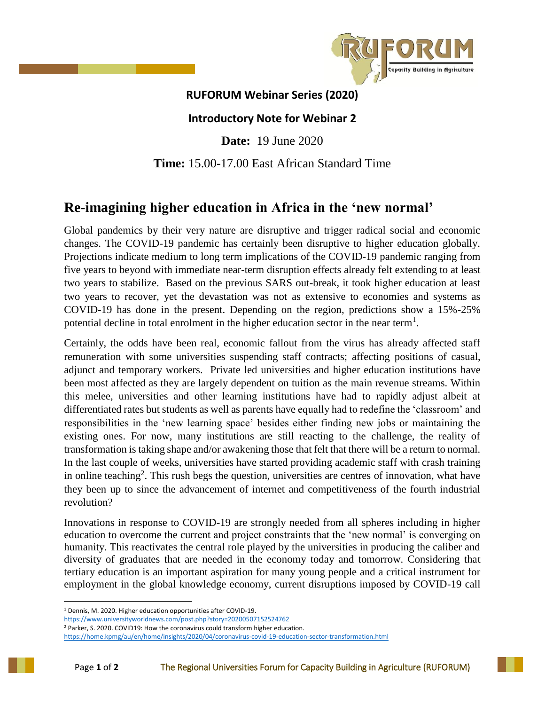

## **RUFORUM Webinar Series (2020)**

## **Introductory Note for Webinar 2**

**Date:** 19 June 2020

## **Time:** 15.00-17.00 East African Standard Time

# **Re-imagining higher education in Africa in the 'new normal'**

Global pandemics by their very nature are disruptive and trigger radical social and economic changes. The COVID-19 pandemic has certainly been disruptive to higher education globally. Projections indicate medium to long term implications of the COVID-19 pandemic ranging from five years to beyond with immediate near-term disruption effects already felt extending to at least two years to stabilize. Based on the previous SARS out-break, it took higher education at least two years to recover, yet the devastation was not as extensive to economies and systems as COVID-19 has done in the present. Depending on the region, predictions show a 15%-25% potential decline in total enrolment in the higher education sector in the near term<sup>1</sup>.

Certainly, the odds have been real, economic fallout from the virus has already affected staff remuneration with some universities suspending staff contracts; affecting positions of casual, adjunct and temporary workers. Private led universities and higher education institutions have been most affected as they are largely dependent on tuition as the main revenue streams. Within this melee, universities and other learning institutions have had to rapidly adjust albeit at differentiated rates but students as well as parents have equally had to redefine the 'classroom' and responsibilities in the 'new learning space' besides either finding new jobs or maintaining the existing ones. For now, many institutions are still reacting to the challenge, the reality of transformation is taking shape and/or awakening those that felt that there will be a return to normal. In the last couple of weeks, universities have started providing academic staff with crash training in online teaching<sup>2</sup>. This rush begs the question, universities are centres of innovation, what have they been up to since the advancement of internet and competitiveness of the fourth industrial revolution?

Innovations in response to COVID-19 are strongly needed from all spheres including in higher education to overcome the current and project constraints that the 'new normal' is converging on humanity. This reactivates the central role played by the universities in producing the caliber and diversity of graduates that are needed in the economy today and tomorrow. Considering that tertiary education is an important aspiration for many young people and a critical instrument for employment in the global knowledge economy, current disruptions imposed by COVID-19 call

l

<sup>1</sup> Dennis, M. 2020. Higher education opportunities after COVID-19.

<https://www.universityworldnews.com/post.php?story=20200507152524762>

<sup>2</sup> Parker, S. 2020. COVID19: How the coronavirus could transform higher education.

<https://home.kpmg/au/en/home/insights/2020/04/coronavirus-covid-19-education-sector-transformation.html>